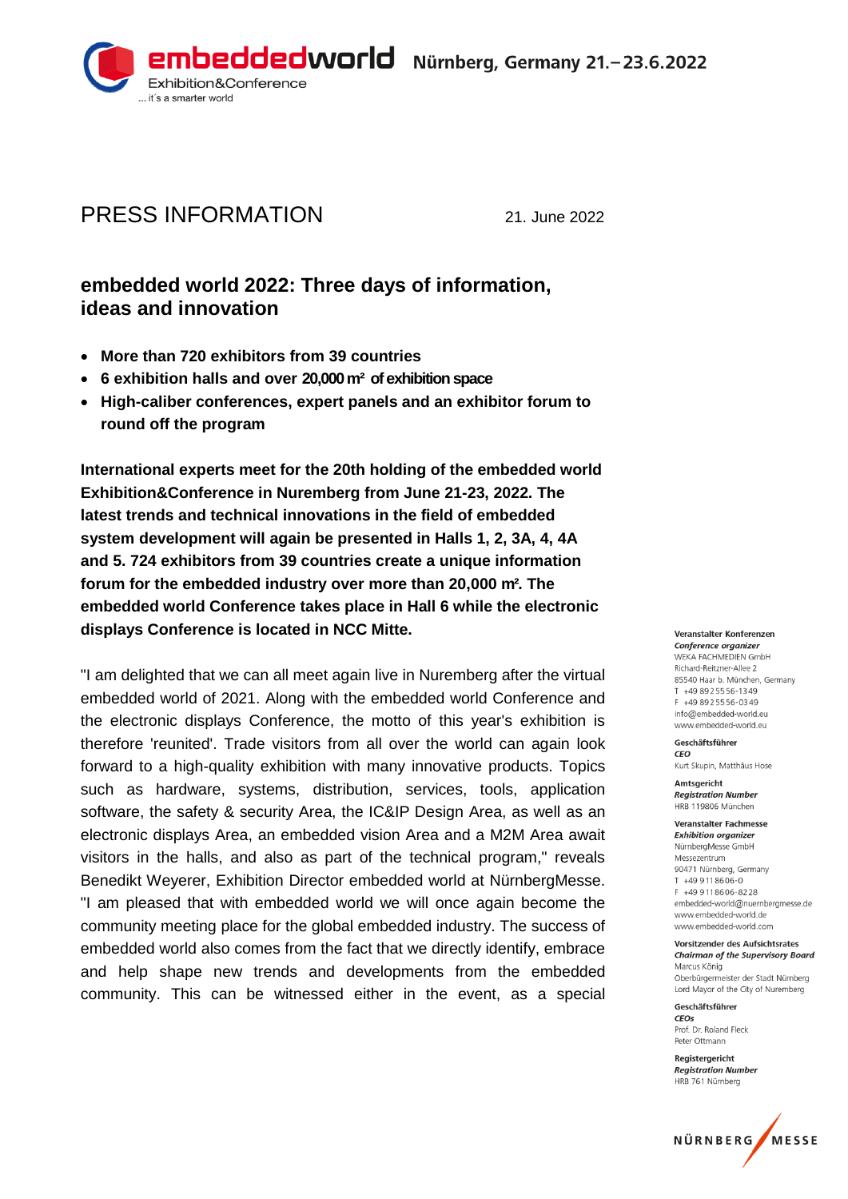

# PRESS INFORMATION 21. June 2022

## **embedded world 2022: Three days of information, ideas and innovation**

- **More than 720 exhibitors from 39 countries**
- **6 exhibition halls and over 20,000 m² of exhibition space**
- **High-caliber conferences, expert panels and an exhibitor forum to round off the program**

**International experts meet for the 20th holding of the embedded world Exhibition&Conference in Nuremberg from June 21-23, 2022. The latest trends and technical innovations in the field of embedded system development will again be presented in Halls 1, 2, 3A, 4, 4A and 5. 724 exhibitors from 39 countries create a unique information forum for the embedded industry over more than 20,000 m². The embedded world Conference takes place in Hall 6 while the electronic displays Conference is located in NCC Mitte.**

"I am delighted that we can all meet again live in Nuremberg after the virtual embedded world of 2021. Along with the embedded world Conference and the electronic displays Conference, the motto of this year's exhibition is therefore 'reunited'. Trade visitors from all over the world can again look forward to a high-quality exhibition with many innovative products. Topics such as hardware, systems, distribution, services, tools, application software, the safety & security Area, the IC&IP Design Area, as well as an electronic displays Area, an embedded vision Area and a M2M Area await visitors in the halls, and also as part of the technical program," reveals Benedikt Weyerer, Exhibition Director embedded world at NürnbergMesse. "I am pleased that with embedded world we will once again become the community meeting place for the global embedded industry. The success of embedded world also comes from the fact that we directly identify, embrace and help shape new trends and developments from the embedded community. This can be witnessed either in the event, as a special

Veranstalter Konferenzen Conference organizer WEKA FACHMEDIEN GmbH Richard-Reitzner-Allee 2 85540 Haar b. München, Germany T +49 89 2 55 56-13 49 E +49 8925556-0349 info@embedded-world eu www.embedded-world.eu

Geschäftsführer CEO Kurt Skupin, Matthäus Hose

Amtsgericht **Registration Number** HRR 119806 München

**Veranstalter Fachmesse Exhibition organizer** NürnbergMesse GmbH Messezentrum 90471 Nürnberg Germany  $T + 499118606 - 0$ F +49 911 8606-8228 embedded-world@nuernbergmesse.de www.embedded-world.de www.embedded-world.com

#### Vorsitzender des Aufsichtsrates **Chairman of the Supervisory Board**

Marcus König Oberbürgermeister der Stadt Nürnberg Lord Mayor of the City of Nuremberg

Geschäftsführer  $CFOS$ Prof. Dr. Roland Fleck Peter Ottmann

Reaisteraericht **Registration Number** HRB 761 Nürnberg

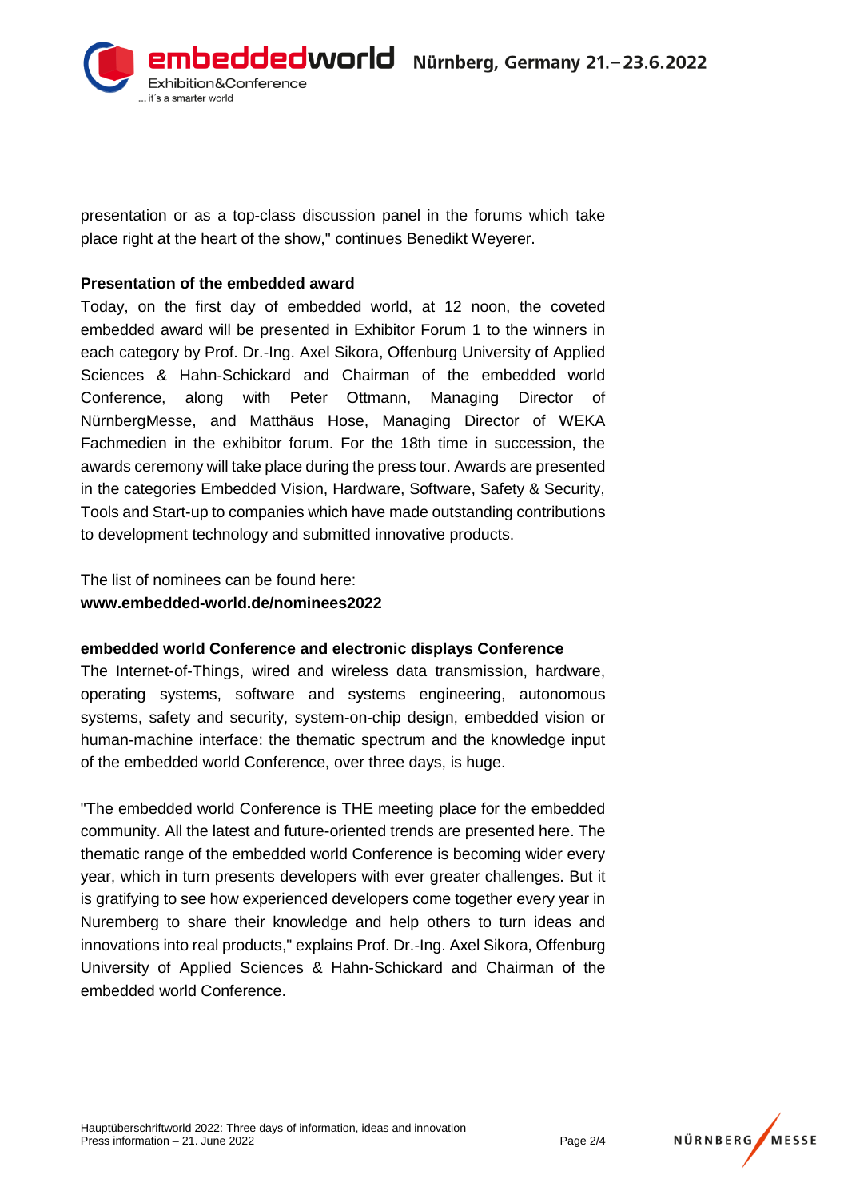

presentation or as a top-class discussion panel in the forums which take place right at the heart of the show," continues Benedikt Weyerer.

#### **Presentation of the embedded award**

Today, on the first day of embedded world, at 12 noon, the coveted embedded award will be presented in Exhibitor Forum 1 to the winners in each category by Prof. Dr.-Ing. Axel Sikora, Offenburg University of Applied Sciences & Hahn-Schickard and Chairman of the embedded world Conference, along with Peter Ottmann, Managing Director of NürnbergMesse, and Matthäus Hose, Managing Director of WEKA Fachmedien in the exhibitor forum. For the 18th time in succession, the awards ceremony will take place during the press tour. Awards are presented in the categories Embedded Vision, Hardware, Software, Safety & Security, Tools and Start-up to companies which have made outstanding contributions to development technology and submitted innovative products.

The list of nominees can be found here: **[www.embedded-world.de/nominees2022](http://www.embedded-world.de/nominees2022)**

#### **embedded world Conference and electronic displays Conference**

The Internet-of-Things, wired and wireless data transmission, hardware, operating systems, software and systems engineering, autonomous systems, safety and security, system-on-chip design, embedded vision or human-machine interface: the thematic spectrum and the knowledge input of the embedded world Conference, over three days, is huge.

"The embedded world Conference is THE meeting place for the embedded community. All the latest and future-oriented trends are presented here. The thematic range of the embedded world Conference is becoming wider every year, which in turn presents developers with ever greater challenges. But it is gratifying to see how experienced developers come together every year in Nuremberg to share their knowledge and help others to turn ideas and innovations into real products," explains Prof. Dr.-Ing. Axel Sikora, Offenburg University of Applied Sciences & Hahn-Schickard and Chairman of the embedded world Conference.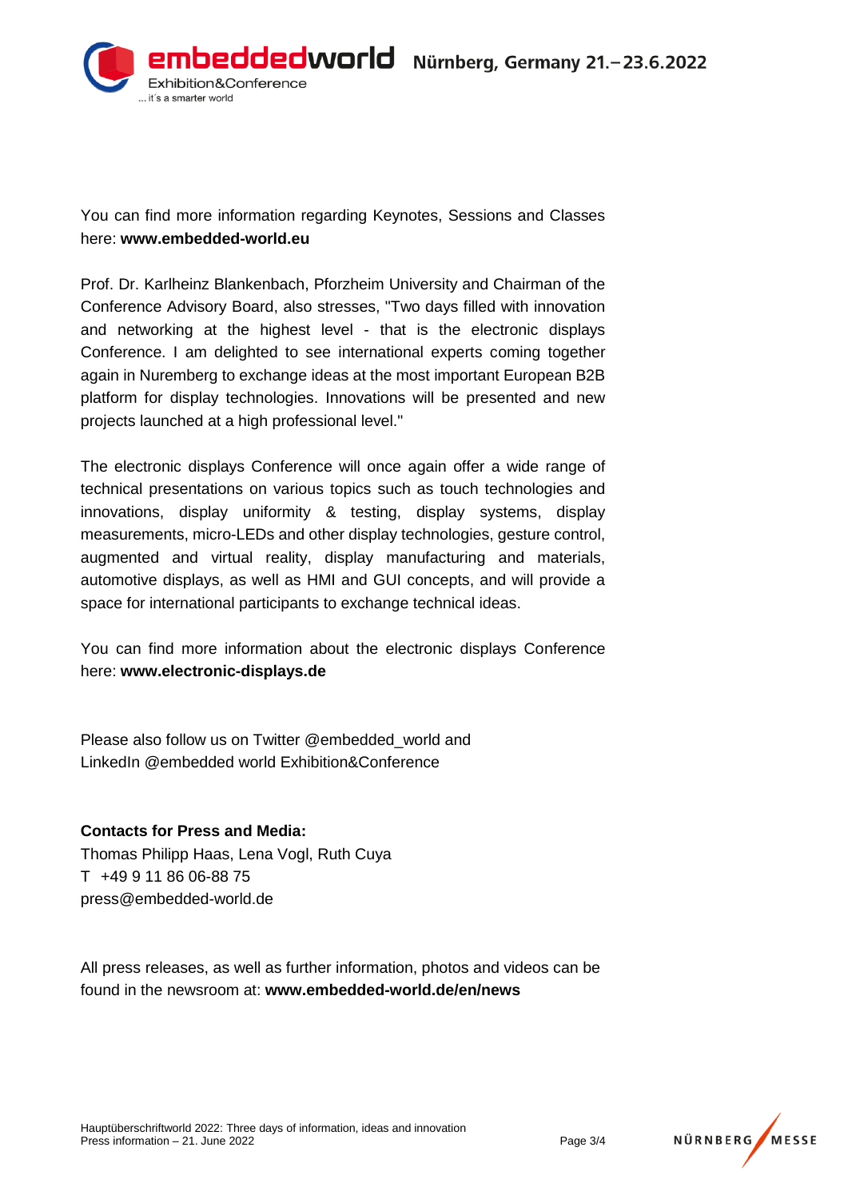

You can find more information regarding Keynotes, Sessions and Classes here: **[www.embedded-world.eu](http://www.embedded-world.eu/)**

Prof. Dr. Karlheinz Blankenbach, Pforzheim University and Chairman of the Conference Advisory Board, also stresses, "Two days filled with innovation and networking at the highest level - that is the electronic displays Conference. I am delighted to see international experts coming together again in Nuremberg to exchange ideas at the most important European B2B platform for display technologies. Innovations will be presented and new projects launched at a high professional level."

The electronic displays Conference will once again offer a wide range of technical presentations on various topics such as touch technologies and innovations, display uniformity & testing, display systems, display measurements, micro-LEDs and other display technologies, gesture control, augmented and virtual reality, display manufacturing and materials, automotive displays, as well as HMI and GUI concepts, and will provide a space for international participants to exchange technical ideas.

You can find more information about the electronic displays Conference here: **[www.electronic-displays.de](http://www.electronic-displays.de/)**

Please also follow us on Twitter @embedded\_world and LinkedIn @embedded world Exhibition&Conference

### **Contacts for Press and Media:**

Thomas Philipp Haas, Lena Vogl, Ruth Cuya T +49 9 11 86 06-88 75 press@embedded-world.de

All press releases, as well as further information, photos and videos can be found in the newsroom at: **www.embedded-world.de/en/news**